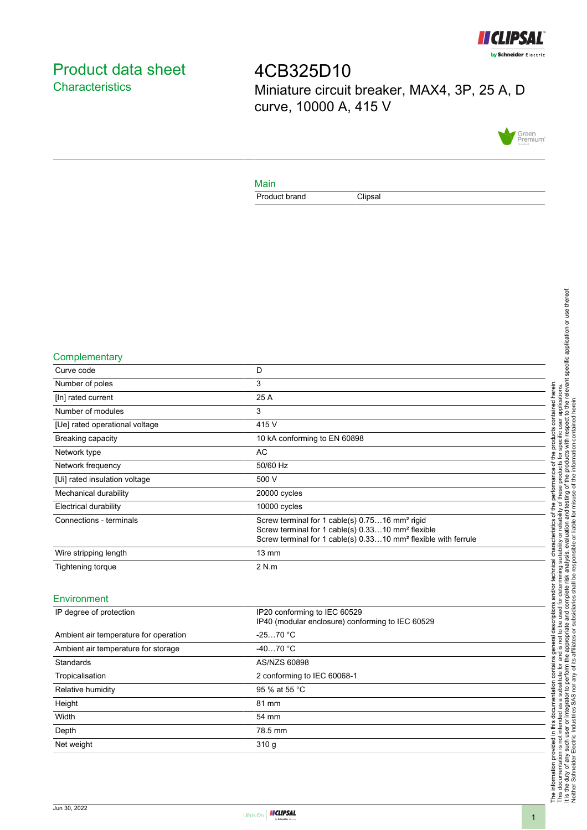

# <span id="page-0-0"></span>Product data sheet **Characteristics**

4CB325D10 Miniature circuit breaker, MAX4, 3P, 25 A, D curve, 10000 A, 415 V



#### Main

Product brand Clipsal

#### **Complementary**

| Curve code                     | D                                                                                                                                                                                                         |
|--------------------------------|-----------------------------------------------------------------------------------------------------------------------------------------------------------------------------------------------------------|
| Number of poles                | 3                                                                                                                                                                                                         |
| [In] rated current             | 25 A                                                                                                                                                                                                      |
| Number of modules              | 3                                                                                                                                                                                                         |
| [Ue] rated operational voltage | 415 V                                                                                                                                                                                                     |
| Breaking capacity              | 10 kA conforming to EN 60898                                                                                                                                                                              |
| Network type                   | AC.                                                                                                                                                                                                       |
| Network frequency              | 50/60 Hz                                                                                                                                                                                                  |
| [Ui] rated insulation voltage  | 500 V                                                                                                                                                                                                     |
| Mechanical durability          | 20000 cycles                                                                                                                                                                                              |
| <b>Electrical durability</b>   | 10000 cycles                                                                                                                                                                                              |
| Connections - terminals        | Screw terminal for 1 cable(s) 0.7516 mm <sup>2</sup> rigid<br>Screw terminal for 1 cable(s) 0.3310 mm <sup>2</sup> flexible<br>Screw terminal for 1 cable(s) 0.3310 mm <sup>2</sup> flexible with ferrule |
| Wire stripping length          | $13 \text{ mm}$                                                                                                                                                                                           |
| Tightening torque              | 2 N.m                                                                                                                                                                                                     |
|                                |                                                                                                                                                                                                           |

## Environment

| IP degree of protection               | IP20 conforming to IEC 60529                     |  |
|---------------------------------------|--------------------------------------------------|--|
|                                       | IP40 (modular enclosure) conforming to IEC 60529 |  |
|                                       |                                                  |  |
| Ambient air temperature for operation | $-2570 °C$                                       |  |
|                                       |                                                  |  |
| Ambient air temperature for storage   | $-4070 °C$                                       |  |
| Standards                             | AS/NZS 60898                                     |  |
|                                       |                                                  |  |
| Tropicalisation                       | 2 conforming to IEC 60068-1                      |  |
|                                       |                                                  |  |
| Relative humidity                     | 95 % at 55 °C                                    |  |
| Height                                | 81 mm                                            |  |
|                                       |                                                  |  |
| Width                                 | 54 mm                                            |  |
|                                       |                                                  |  |
| Depth                                 | 78.5 mm                                          |  |
| Net weight                            | 310q                                             |  |
|                                       |                                                  |  |